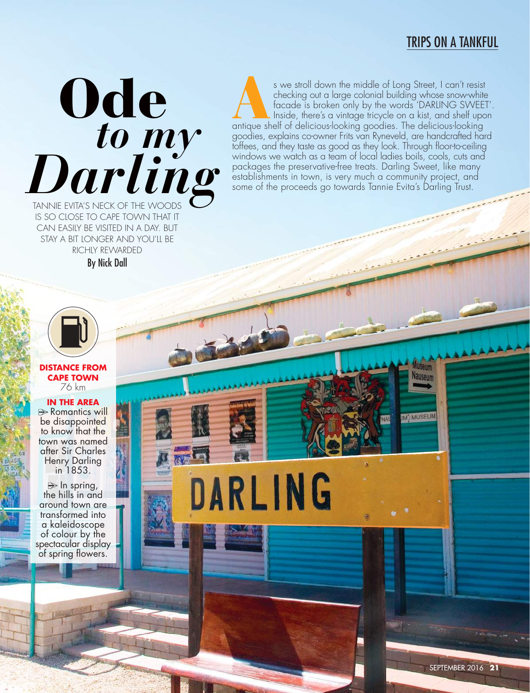## TRIPS ON A TANKFUL

# TANNIE EVITA'S NECK OF THE WOODS **Ode** *Darling to my*

IS SO CLOSE TO CAPE TOWN THAT IT CAN EASILY BE VISITED IN A DAY. BUT STAY A BIT LONGER AND YOU'LL BE RICHLY REWARDED By Nick Dall

s we stroll down the middle of Long Street, I can't resist<br>checking out a large colonial building whose snow-white<br>facade is broken only by the words 'DARLING SWEET<br>Inside, there's a vintage tricycle on a kist, and shelf u checking out a large colonial building whose snow-white facade is broken only by the words 'DARLING SWEET'. Inside, there's a vintage tricycle on a kist, and shelf upon antique shelf of delicious-looking goodies. The delicious-looking goodies, explains co-owner Frits van Ryneveld, are handcrafted hard toffees, and they taste as good as they look. Through floor-to-ceiling windows we watch as a team of local ladies boils, cools, cuts and packages the preservative-free treats. Darling Sweet, like many establishments in town, is very much a community project, and some of the proceeds go towards Tannie Evita's Darling Trust.

DARLING



#### **DISTANCE FROM CAPE TOWN** 76 km

**IN THE AREA B**Romantics will

be disappointed to know that the town was named after Sir Charles Henry Darling in 1853.

 $\Rightarrow$  In spring, the hills in and around town are transformed into a kaleidoscope of colour by the spectacular display of spring flowers.

W/ MUSEUM